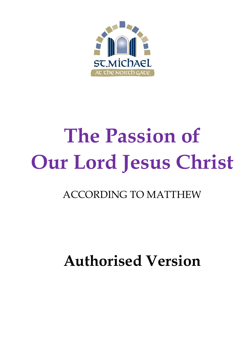

# **The Passion of Our Lord Jesus Christ**

### ACCORDING TO MATTHEW

## **Authorised Version**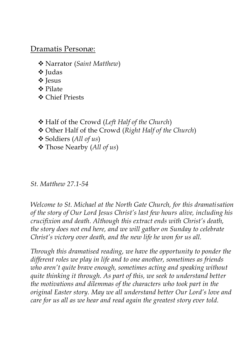### Dramatis Personæ:

- ❖ Narrator (*Saint Matthew*)
- ❖ Judas
- ❖ Jesus
- ❖ Pilate
- ❖ Chief Priests
- ❖ Half of the Crowd (*Left Half of the Church*)
- ❖ Other Half of the Crowd (*Right Half of the Church*)
- ❖ Soldiers (*All of us*)
- ❖ Those Nearby (*All of us*)

#### *St. Matthew 27.1-54*

*Welcome to St. Michael at the North Gate Church, for this dramatisation of the story of Our Lord Jesus Christ's last few hours alive, including his crucifixion and death. Although this extract ends with Christ's death, the story does not end here, and we will gather on Sunday to celebrate Christ's victory over death, and the new life he won for us all.*

*Through this dramatised reading, we have the opportunity to ponder the different roles we play in life and to one another, sometimes as friends who aren't quite brave enough, sometimes acting and speaking without quite thinking it through. As part of this, we seek to understand better the motivations and dilemmas of the characters who took part in the original Easter story. May we all understand better Our Lord's love and care for us all as we hear and read again the greatest story ever told.*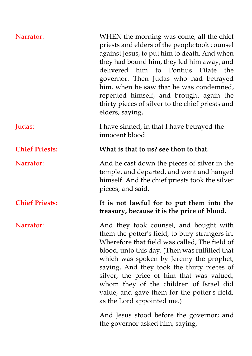| Narrator:             | WHEN the morning was come, all the chief<br>priests and elders of the people took counsel<br>against Jesus, to put him to death. And when<br>they had bound him, they led him away, and<br>delivered him to Pontius Pilate<br>the<br>governor. Then Judas who had betrayed<br>him, when he saw that he was condemned,<br>repented himself, and brought again the<br>thirty pieces of silver to the chief priests and<br>elders, saying,                    |
|-----------------------|------------------------------------------------------------------------------------------------------------------------------------------------------------------------------------------------------------------------------------------------------------------------------------------------------------------------------------------------------------------------------------------------------------------------------------------------------------|
| Judas:                | I have sinned, in that I have betrayed the<br>innocent blood.                                                                                                                                                                                                                                                                                                                                                                                              |
| <b>Chief Priests:</b> | What is that to us? see thou to that.                                                                                                                                                                                                                                                                                                                                                                                                                      |
| Narrator:             | And he cast down the pieces of silver in the<br>temple, and departed, and went and hanged<br>himself. And the chief priests took the silver<br>pieces, and said,                                                                                                                                                                                                                                                                                           |
| <b>Chief Priests:</b> | It is not lawful for to put them into the<br>treasury, because it is the price of blood.                                                                                                                                                                                                                                                                                                                                                                   |
| Narrator:             | And they took counsel, and bought with<br>them the potter's field, to bury strangers in.<br>Wherefore that field was called, The field of<br>blood, unto this day. (Then was fulfilled that<br>which was spoken by Jeremy the prophet,<br>saying, And they took the thirty pieces of<br>silver, the price of him that was valued,<br>whom they of the children of Israel did<br>value, and gave them for the potter's field,<br>as the Lord appointed me.) |
|                       | And Jesus stood before the governor; and<br>the governor asked him, saying,                                                                                                                                                                                                                                                                                                                                                                                |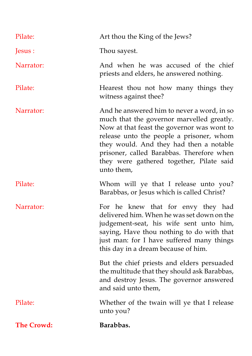| Pilate:           | Art thou the King of the Jews?                                                                                                                                                                                                                                                                                                      |
|-------------------|-------------------------------------------------------------------------------------------------------------------------------------------------------------------------------------------------------------------------------------------------------------------------------------------------------------------------------------|
| Jesus :           | Thou sayest.                                                                                                                                                                                                                                                                                                                        |
| Narrator:         | And when he was accused of the chief<br>priests and elders, he answered nothing.                                                                                                                                                                                                                                                    |
| Pilate:           | Hearest thou not how many things they<br>witness against thee?                                                                                                                                                                                                                                                                      |
| Narrator:         | And he answered him to never a word, in so<br>much that the governor marvelled greatly.<br>Now at that feast the governor was wont to<br>release unto the people a prisoner, whom<br>they would. And they had then a notable<br>prisoner, called Barabbas. Therefore when<br>they were gathered together, Pilate said<br>unto them, |
| Pilate:           | Whom will ye that I release unto you?<br>Barabbas, or Jesus which is called Christ?                                                                                                                                                                                                                                                 |
| Narrator:         | For he knew that for envy they had<br>delivered him. When he was set down on the<br>judgement-seat, his wife sent unto him,<br>saying, Have thou nothing to do with that<br>just man: for I have suffered many things<br>this day in a dream because of him.                                                                        |
|                   | But the chief priests and elders persuaded<br>the multitude that they should ask Barabbas,<br>and destroy Jesus. The governor answered<br>and said unto them,                                                                                                                                                                       |
| Pilate:           | Whether of the twain will ye that I release<br>unto you?                                                                                                                                                                                                                                                                            |
| <b>The Crowd:</b> | Barabbas.                                                                                                                                                                                                                                                                                                                           |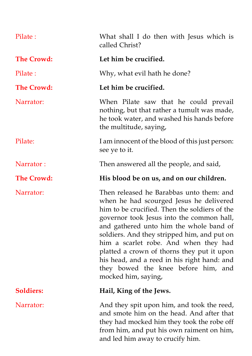| Pilate:           | What shall I do then with Jesus which is<br>called Christ?                                                                                                                                                                                                                                                                                                                                                                                                                      |
|-------------------|---------------------------------------------------------------------------------------------------------------------------------------------------------------------------------------------------------------------------------------------------------------------------------------------------------------------------------------------------------------------------------------------------------------------------------------------------------------------------------|
| <b>The Crowd:</b> | Let him be crucified.                                                                                                                                                                                                                                                                                                                                                                                                                                                           |
| Pilate:           | Why, what evil hath he done?                                                                                                                                                                                                                                                                                                                                                                                                                                                    |
| <b>The Crowd:</b> | Let him be crucified.                                                                                                                                                                                                                                                                                                                                                                                                                                                           |
| Narrator:         | When Pilate saw that he could prevail<br>nothing, but that rather a tumult was made,<br>he took water, and washed his hands before<br>the multitude, saying,                                                                                                                                                                                                                                                                                                                    |
| Pilate:           | I am innocent of the blood of this just person:<br>see ye to it.                                                                                                                                                                                                                                                                                                                                                                                                                |
| Narrator:         | Then answered all the people, and said,                                                                                                                                                                                                                                                                                                                                                                                                                                         |
| <b>The Crowd:</b> | His blood be on us, and on our children.                                                                                                                                                                                                                                                                                                                                                                                                                                        |
| Narrator:         | Then released he Barabbas unto them: and<br>when he had scourged Jesus he delivered<br>him to be crucified. Then the soldiers of the<br>governor took Jesus into the common hall,<br>and gathered unto him the whole band of<br>soldiers. And they stripped him, and put on<br>him a scarlet robe. And when they had<br>platted a crown of thorns they put it upon<br>his head, and a reed in his right hand: and<br>they bowed the knee before him, and<br>mocked him, saying, |
| <b>Soldiers:</b>  | Hail, King of the Jews.                                                                                                                                                                                                                                                                                                                                                                                                                                                         |
| Narrator:         | And they spit upon him, and took the reed,<br>and smote him on the head. And after that<br>they had mocked him they took the robe off<br>from him, and put his own raiment on him,                                                                                                                                                                                                                                                                                              |

and led him away to crucify him.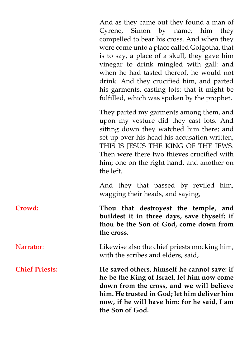And as they came out they found a man of Cyrene, Simon by name; him they compelled to bear his cross. And when they were come unto a place called Golgotha, that is to say, a place of a skull, they gave him vinegar to drink mingled with gall: and when he had tasted thereof, he would not drink. And they crucified him, and parted his garments, casting lots: that it might be fulfilled, which was spoken by the prophet,

They parted my garments among them, and upon my vesture did they cast lots. And sitting down they watched him there; and set up over his head his accusation written, THIS IS JESUS THE KING OF THE JEWS. Then were there two thieves crucified with him; one on the right hand, and another on the left.

And they that passed by reviled him, wagging their heads, and saying,

**Crowd: Thou that destroyest the temple, and buildest it in three days, save thyself: if thou be the Son of God, come down from the cross.** 

Narrator: Likewise also the chief priests mocking him, with the scribes and elders, said,

**Chief Priests: He saved others, himself he cannot save: if he be the King of Israel, let him now come down from the cross, and we will believe him. He trusted in God; let him deliver him now, if he will have him: for he said, I am the Son of God.**